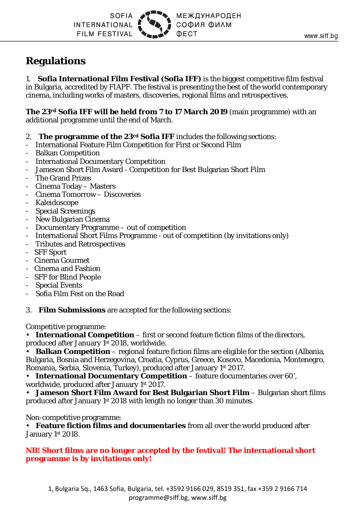SOFIA **INTERNATIONAL FILM FESTIVAL**  **МЕЖДУНАРОДЕН** СОФИЯ ФИЛМ **OECT** 

# **Regulations**

1. **Sofia International Film Festival (Sofia IFF)** is the biggest competitive film festival in Bulgaria, accredited by FIAPF. The festival is presenting the best of the world contemporary cinema, including works of masters, discoveries, regional films and retrospectives.

**The 23rd Sofia IFF will be held from 7 to 17 March 2019** (main programme) with an additional programme until the end of March.

- 2. **The programme of the 23rd Sofia IFF** includes the following sections:
- International Feature Film Competition for First or Second Film
- Balkan Competition
- International Documentary Competition
- Jameson Short Film Award Competition for Best Bulgarian Short Film
- The Grand Prizes
- Cinema Today Masters
- Cinema Tomorrow Discoveries
- Kaleidoscope
- Special Screenings
- New Bulgarian Cinema
- Documentary Programme out of competition
- International Short Films Programme out of competition (by invitations only)
- Tributes and Retrospectives
- SFF Sport
- Cinema Gourmet
- Cinema and Fashion
- SFF for Blind People
- Special Events
- Sofia Film Fest on the Road

3. **Film Submissions** are accepted for the following sections:

Competitive programme:

**International Competition** – first or second feature fiction films of the directors, produced after January 1st 2018, worldwide.

• **Balkan Competition** – regional feature fiction films are eligible for the section (Albania, Bulgaria, Bosnia and Herzegovina, Croatia, Cyprus, Greece, Kosovo, Macedonia, Montenegro, Romania, Serbia, Slovenia, Turkey), produced after January 1st 2017.

• **International Documentary Competition** – feature documentaries over 60', worldwide, produced after January 1st 2017.

• **Jameson Short Film Award for Best Bulgarian Short Film** – Bulgarian short films produced after January 1st 2018 with length no longer than 30 minutes.

Non-competitive programme:

• **Feature fiction films and documentaries** from all over the world produced after January 1st 2018.

## **NB! Short films are no longer accepted by the festival! The international short programme is by invitations only!**

1, Bulgaria Sq., 1463 Sofia, Bulgaria, tel. +3592 9166 029, 8519 351, fax +359 2 9166 714 [programme@siff.bg,](mailto:programme@siff.bg) [www.siff.bg](http://www.siff.bg/)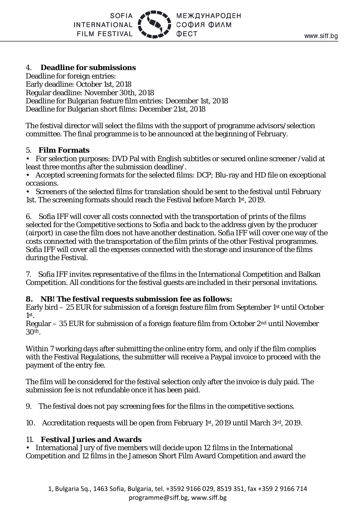# 4. **Deadline for submissions**

Deadline for foreign entries: Early deadline: October 1st, 2018 Regular deadline: November 30th, 2018 Deadline for Bulgarian feature film entries: December 1st, 2018 Deadline for Bulgarian short films: December 21st, 2018

The festival director will select the films with the support of programme advisors/selection committee. The final programme is to be announced at the beginning of February.

#### 5. **Film Formats**

• For selection purposes: DVD Pal with English subtitles or secured online screener /valid at least three months after the submission deadline/.

• Accepted screening formats for the selected films: DCP; Blu-ray and HD file on exceptional occasions.

• Screeners of the selected films for translation should be sent to the festival until February 1st. The screening formats should reach the Festival before March 1st, 2019.

6. Sofia IFF will cover all costs connected with the transportation of prints of the films selected for the Competitive sections to Sofia and back to the address given by the producer (airport) in case the film does not have another destination. Sofia IFF will cover one way of the costs connected with the transportation of the film prints of the other Festival programmes. Sofia IFF will cover all the expenses connected with the storage and insurance of the films during the Festival.

7. Sofia IFF invites representative of the films in the International Competition and Balkan Competition. All conditions for the festival guests are included in their personal invitations.

### **8. NB! The festival requests submission fee as follows:**

Early bird – 25 EUR for submission of a foreign feature film from September 1st until October 1st.

Regular – 35 EUR for submission of a foreign feature film from October 2nd until November 30th.

Within 7 working days after submitting the online entry form, and only if the film complies with the Festival Regulations, the submitter will receive a Paypal invoice to proceed with the payment of the entry fee.

The film will be considered for the festival selection only after the invoice is duly paid. The submission fee is not refundable once it has been paid.

9. The festival does not pay screening fees for the films in the competitive sections.

10. Accreditation requests will be open from February 1st, 2019 until March  $3<sup>rd</sup>$ , 2019.

#### 11. **Festival Juries and Awards**

• International Jury of five members will decide upon 12 films in the International Competition and 12 films in the Jameson Short Film Award Competition and award the